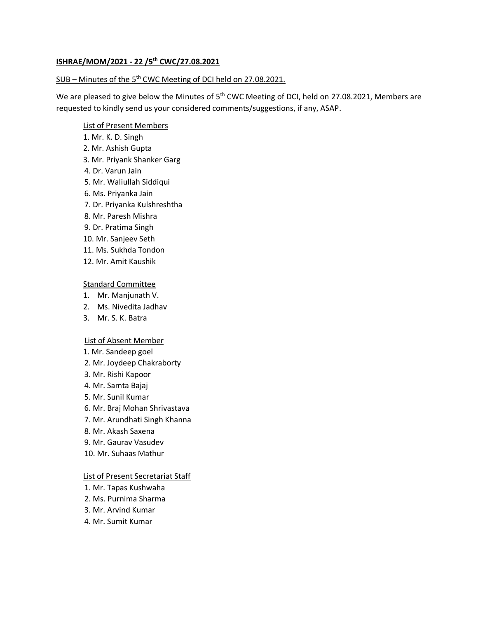# **ISHRAE/MOM/2021 - 22 /5 th CWC/27.08.2021**

# SUB – Minutes of the 5<sup>th</sup> CWC Meeting of DCI held on 27.08.2021.

We are pleased to give below the Minutes of 5<sup>th</sup> CWC Meeting of DCI, held on 27.08.2021, Members are requested to kindly send us your considered comments/suggestions, if any, ASAP.

#### List of Present Members

- 1. Mr. K. D. Singh
- 2. Mr. Ashish Gupta
- 3. Mr. Priyank Shanker Garg
- 4. Dr. Varun Jain
- 5. Mr. Waliullah Siddiqui
- 6. Ms. Priyanka Jain
- 7. Dr. Priyanka Kulshreshtha
- 8. Mr. Paresh Mishra
- 9. Dr. Pratima Singh
- 10. Mr. Sanjeev Seth
- 11. Ms. Sukhda Tondon
- 12. Mr. Amit Kaushik

# Standard Committee

- 1. Mr. Manjunath V.
- 2. Ms. Nivedita Jadhav
- 3. Mr. S. K. Batra

# List of Absent Member

- 1. Mr. Sandeep goel
- 2. Mr. Joydeep Chakraborty
- 3. Mr. Rishi Kapoor
- 4. Mr. Samta Bajaj
- 5. Mr. Sunil Kumar
- 6. Mr. Braj Mohan Shrivastava
- 7. Mr. Arundhati Singh Khanna
- 8. Mr. Akash Saxena
- 9. Mr. Gaurav Vasudev
- 10. Mr. Suhaas Mathur

# List of Present Secretariat Staff

- 1. Mr. Tapas Kushwaha
- 2. Ms. Purnima Sharma
- 3. Mr. Arvind Kumar
- 4. Mr. Sumit Kumar